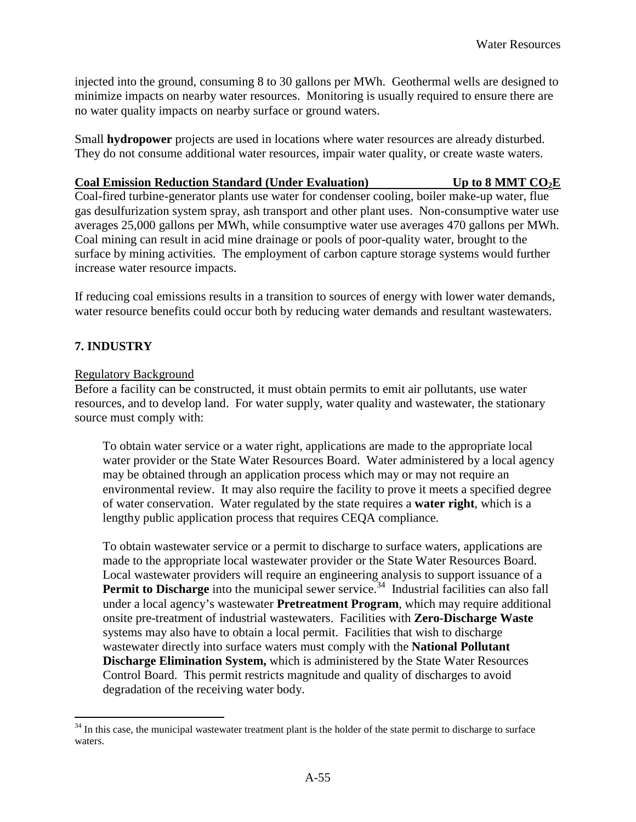injected into the ground, consuming 8 to 30 gallons per MWh. Geothermal wells are designed to minimize impacts on nearby water resources. Monitoring is usually required to ensure there are no water quality impacts on nearby surface or ground waters.

 Small **hydropower** projects are used in locations where water resources are already disturbed. They do not consume additional water resources, impair water quality, or create waste waters.

#### **Coal Emission Reduction Standard (Under Evaluation)** Up to 8 MMT CO<sub>2</sub>E

 Coal-fired turbine-generator plants use water for condenser cooling, boiler make-up water, flue gas desulfurization system spray, ash transport and other plant uses. Non-consumptive water use averages 25,000 gallons per MWh, while consumptive water use averages 470 gallons per MWh. Coal mining can result in acid mine drainage or pools of poor-quality water, brought to the surface by mining activities. The employment of carbon capture storage systems would further increase water resource impacts.

 If reducing coal emissions results in a transition to sources of energy with lower water demands, water resource benefits could occur both by reducing water demands and resultant wastewaters.

#### **7. INDUSTRY**

<u>.</u>

#### **Regulatory Background**

 Before a facility can be constructed, it must obtain permits to emit air pollutants, use water resources, and to develop land. For water supply, water quality and wastewater, the stationary source must comply with:

 To obtain water service or a water right, applications are made to the appropriate local water provider or the State Water Resources Board. Water administered by a local agency may be obtained through an application process which may or may not require an environmental review. It may also require the facility to prove it meets a specified degree of water conservation. Water regulated by the state requires a **water right**, which is a lengthy public application process that requires CEQA compliance.

 To obtain wastewater service or a permit to discharge to surface waters, applications are made to the appropriate local wastewater provider or the State Water Resources Board. Local wastewater providers will require an engineering analysis to support issuance of a Permit to Discharge into the municipal sewer [service.](https://service.34)<sup>34</sup> Industrial facilities can also fall under a local agency's wastewater **Pretreatment Program**, which may require additional onsite pre-treatment of industrial wastewaters. Facilities with **Zero-Discharge Waste**  systems may also have to obtain a local permit. Facilities that wish to discharge wastewater directly into surface waters must comply with the **National Pollutant Discharge Elimination System,** which is administered by the State Water Resources Control Board. This permit restricts magnitude and quality of discharges to avoid degradation of the receiving water body.

 $34$  In this case, the municipal wastewater treatment plant is the holder of the state permit to discharge to surface waters.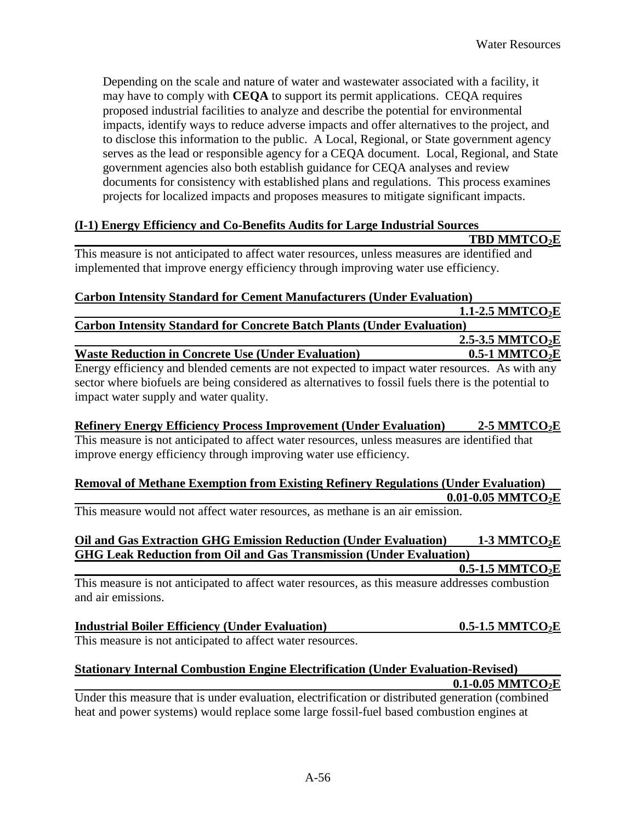Depending on the scale and nature of water and wastewater associated with a facility, it may have to comply with **CEQA** to support its permit applications. CEQA requires proposed industrial facilities to analyze and describe the potential for environmental impacts, identify ways to reduce adverse impacts and offer alternatives to the project, and to disclose this information to the public. A Local, Regional, or State government agency serves as the lead or responsible agency for a CEQA document. Local, Regional, and State government agencies also both establish guidance for CEQA analyses and review documents for consistency with established plans and regulations. This process examines projects for localized impacts and proposes measures to mitigate significant impacts.

#### **(I-1) Energy Efficiency and Co-Benefits Audits for Large Industrial Sources**

 This measure is not anticipated to affect water resources, unless measures are identified and implemented that improve energy efficiency through improving water use efficiency. **Carbon Intensity Standard for Cement Manufacturers (Under Evaluation) Carbon Intensity Standard for Concrete Batch Plants (Under Evaluation) Waste Reduction in Concrete Use (Under Evaluation) 0.5-1 MMTCO<sub>2</sub>E**  Energy efficiency and blended cements are not expected to impact water resources. As with any sector where biofuels are being considered as alternatives to fossil fuels there is the potential to impact water supply and water quality. **TBD MMTCO2E 1.1-2.5 MMTCO<sub>2</sub>E 2.5-3.5 MMTCO2E** 

#### **Refinery Energy Efficiency Process Improvement (Under Evaluation) 2-5 MMTCO<sub>2</sub>E**

 This measure is not anticipated to affect water resources, unless measures are identified that improve energy efficiency through improving water use efficiency.

#### **Removal of Methane Exemption from Existing Refinery Regulations (Under Evaluation) [0.01-0.05](https://0.01-0.05) MMTCO2E**

This measure would not affect water resources, as methane is an air emission.

### **Oil and Gas Extraction GHG Emission Reduction (Under Evaluation) 1-3 MMTCO2E GHG Leak Reduction from Oil and Gas Transmission (Under Evaluation)**

0.5-1.5 MMTCO<sub>2</sub>E

 This measure is not anticipated to affect water resources, as this measure addresses combustion and air emissions.

| <b>Industrial Boiler Efficiency (Under Evaluation)</b>     | $0.5$ -1.5 MMTCO <sub>2</sub> E |
|------------------------------------------------------------|---------------------------------|
| This measure is not anticipated to affect water resources. |                                 |

#### **Stationary Internal Combustion Engine Electrification (Under Evaluation-Revised) [0.1-0.05](https://0.1-0.05) MMTCO2E**

 Under this measure that is under evaluation, electrification or distributed generation (combined heat and power systems) would replace some large fossil-fuel based combustion engines at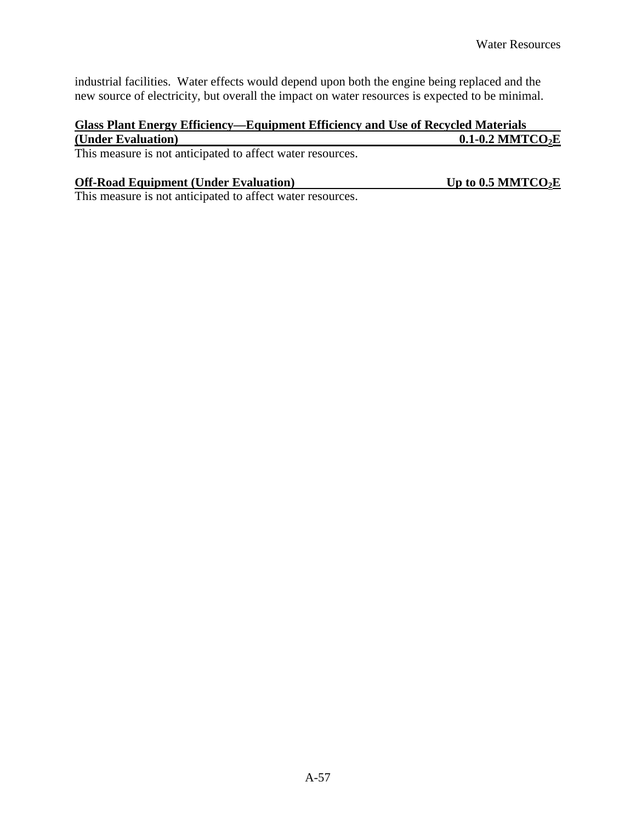industrial facilities. Water effects would depend upon both the engine being replaced and the new source of electricity, but overall the impact on water resources is expected to be minimal.

#### **Glass Plant Energy Efficiency—Equipment Efficiency and Use of Recycled Materials (Under Evaluation)**  0.1-0.2 MMTCO<sub>2</sub>E

This measure is not anticipated to affect water resources.

#### **Off-Road Equipment (Under Evaluation)**

Up to 0.5 MMTCO<sub>2</sub>E

This measure is not anticipated to affect water resources.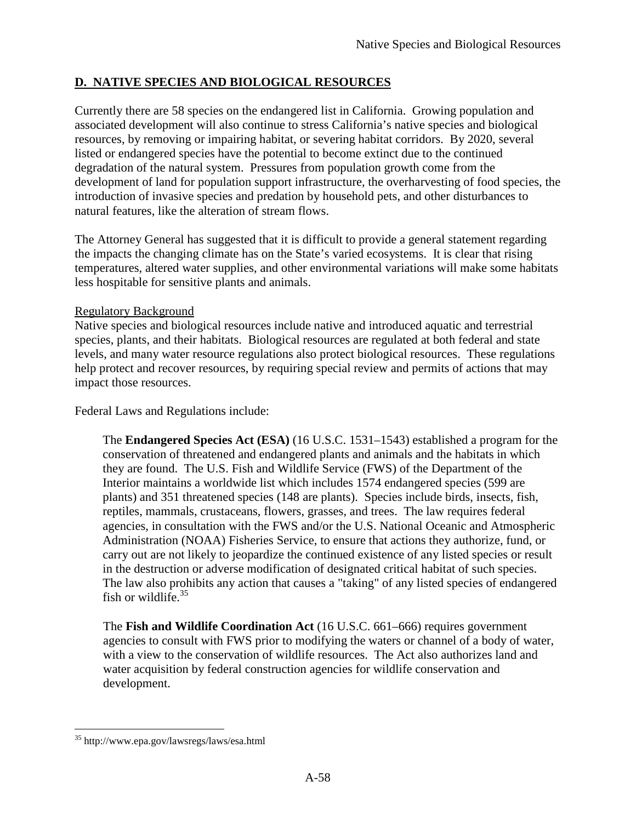## **D. NATIVE SPECIES AND BIOLOGICAL RESOURCES**

 Currently there are 58 species on the endangered list in California. Growing population and associated development will also continue to stress California's native species and biological resources, by removing or impairing habitat, or severing habitat corridors. By 2020, several listed or endangered species have the potential to become extinct due to the continued degradation of the natural system. Pressures from population growth come from the development of land for population support infrastructure, the overharvesting of food species, the introduction of invasive species and predation by household pets, and other disturbances to natural features, like the alteration of stream flows.

 The Attorney General has suggested that it is difficult to provide a general statement regarding the impacts the changing climate has on the State's varied ecosystems. It is clear that rising temperatures, altered water supplies, and other environmental variations will make some habitats less hospitable for sensitive plants and animals.

## **Regulatory Background**

 Native species and biological resources include native and introduced aquatic and terrestrial species, plants, and their habitats. Biological resources are regulated at both federal and state levels, and many water resource regulations also protect biological resources. These regulations help protect and recover resources, by requiring special review and permits of actions that may impact those resources.

Federal Laws and Regulations include:

 The **Endangered Species Act (ESA)** (16 U.S.C. 1531–1543) established a program for the conservation of threatened and endangered plants and animals and the habitats in which they are found. The U.S. Fish and Wildlife Service (FWS) of the Department of the Interior maintains a worldwide list which includes 1574 endangered species (599 are plants) and 351 threatened species (148 are plants). Species include birds, insects, fish, reptiles, mammals, crustaceans, flowers, grasses, and trees. The law requires federal agencies, in consultation with the FWS and/or the U.S. National Oceanic and Atmospheric Administration (NOAA) Fisheries Service, to ensure that actions they authorize, fund, or carry out are not likely to jeopardize the continued existence of any listed species or result in the destruction or adverse modification of designated critical habitat of such species. The law also prohibits any action that causes a "taking" of any listed species of endangered fish or [wildlife.](https://wildlife.35)<sup>35</sup>

 The **Fish and Wildlife Coordination Act** (16 U.S.C. 661–666) requires government agencies to consult with FWS prior to modifying the waters or channel of a body of water, with a view to the conservation of wildlife resources. The Act also authorizes land and water acquisition by federal construction agencies for wildlife conservation and development.

<u>.</u>

<sup>35</sup> <http://www.epa.gov/lawsregs/laws/esa.html>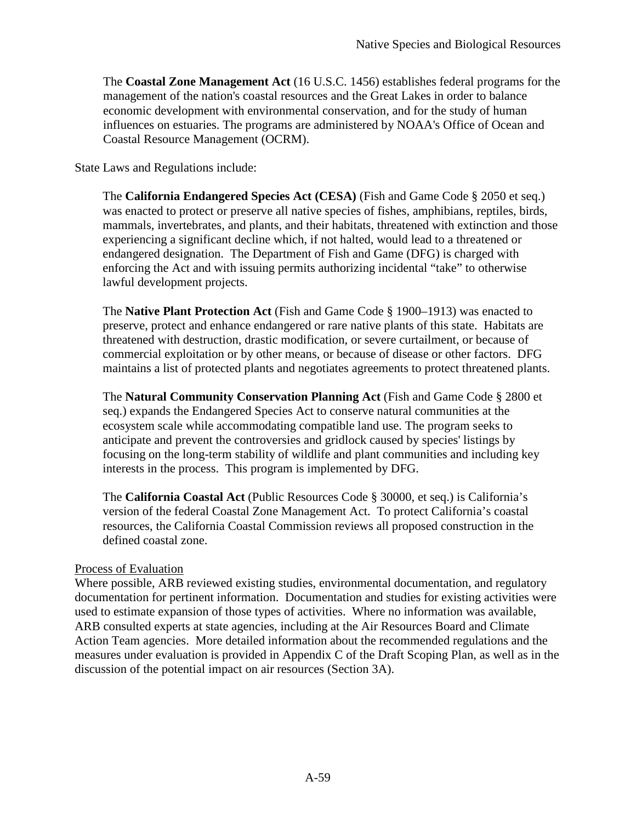The **Coastal Zone Management Act** (16 U.S.C. 1456) establishes federal programs for the management of the nation's coastal resources and the Great Lakes in order to balance economic development with environmental conservation, and for the study of human influences on estuaries. The programs are administered by NOAA's Office of Ocean and Coastal Resource Management (OCRM).

State Laws and Regulations include:

 The **California Endangered Species Act (CESA)** (Fish and Game Code § 2050 et seq.) was enacted to protect or preserve all native species of fishes, amphibians, reptiles, birds, mammals, invertebrates, and plants, and their habitats, threatened with extinction and those experiencing a significant decline which, if not halted, would lead to a threatened or endangered designation. The Department of Fish and Game (DFG) is charged with enforcing the Act and with issuing permits authorizing incidental "take" to otherwise lawful development projects.

 The **Native Plant Protection Act** (Fish and Game Code § 1900–1913) was enacted to preserve, protect and enhance endangered or rare native plants of this state. Habitats are threatened with destruction, drastic modification, or severe curtailment, or because of commercial exploitation or by other means, or because of disease or other factors. DFG maintains a list of protected plants and negotiates agreements to protect threatened plants.

 The **Natural Community Conservation Planning Act** (Fish and Game Code § 2800 et seq.) expands the Endangered Species Act to conserve natural communities at the ecosystem scale while accommodating compatible land use. The program seeks to anticipate and prevent the controversies and gridlock caused by species' listings by focusing on the long-term stability of wildlife and plant communities and including key interests in the process. This program is implemented by DFG.

 The **California Coastal Act** (Public Resources Code § 30000, et seq.) is California's version of the federal Coastal Zone Management Act. To protect California's coastal resources, the California Coastal Commission reviews all proposed construction in the defined coastal zone.

## Process of Evaluation

 Where possible, ARB reviewed existing studies, environmental documentation, and regulatory documentation for pertinent information. Documentation and studies for existing activities were used to estimate expansion of those types of activities. Where no information was available, ARB consulted experts at state agencies, including at the Air Resources Board and Climate Action Team agencies. More detailed information about the recommended regulations and the measures under evaluation is provided in Appendix C of the Draft Scoping Plan, as well as in the discussion of the potential impact on air resources (Section 3A).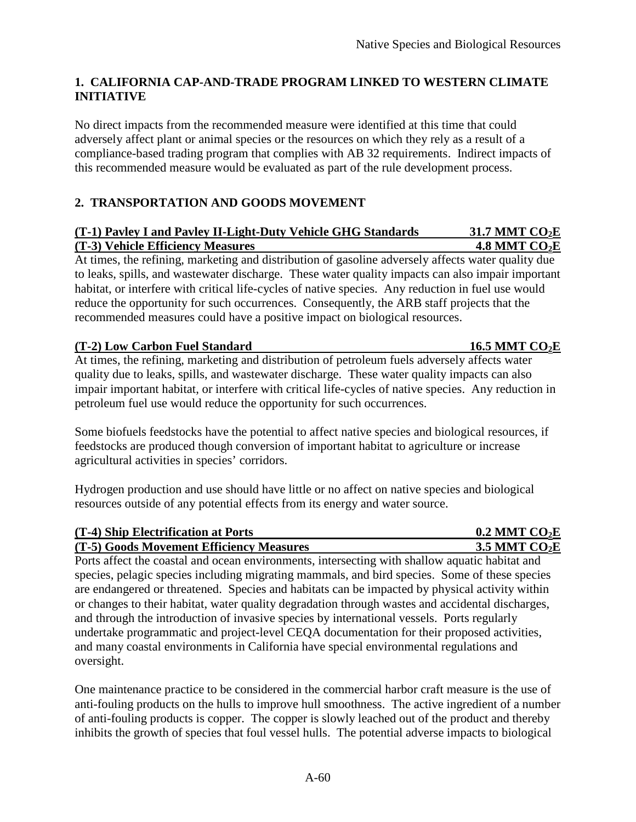## **1. CALIFORNIA CAP-AND-TRADE PROGRAM LINKED TO WESTERN CLIMATE INITIATIVE**

 No direct impacts from the recommended measure were identified at this time that could adversely affect plant or animal species or the resources on which they rely as a result of a compliance-based trading program that complies with AB 32 requirements. Indirect impacts of this recommended measure would be evaluated as part of the rule development process.

## **2. TRANSPORTATION AND GOODS MOVEMENT**

### **(T-1) Pavley I and Pavley II-Light-Duty Vehicle GHG Standards 31.7 MMT CO<sub>2</sub>E 1.8 MMT CO<sub>2</sub>E <b>1.8 MMT** CO<sub>2</sub>E

 At times, the refining, marketing and distribution of gasoline adversely affects water quality due to leaks, spills, and wastewater discharge. These water quality impacts can also impair important habitat, or interfere with critical life-cycles of native species. Any reduction in fuel use would reduce the opportunity for such occurrences. Consequently, the ARB staff projects that the recommended measures could have a positive impact on biological resources.

## **(T-2)** Low Carbon Fuel Standard 16.5 MMT CO<sub>2</sub>E

 At times, the refining, marketing and distribution of petroleum fuels adversely affects water quality due to leaks, spills, and wastewater discharge. These water quality impacts can also impair important habitat, or interfere with critical life-cycles of native species. Any reduction in petroleum fuel use would reduce the opportunity for such occurrences.

 Some biofuels feedstocks have the potential to affect native species and biological resources, if feedstocks are produced though conversion of important habitat to agriculture or increase agricultural activities in species' corridors.

 Hydrogen production and use should have little or no affect on native species and biological resources outside of any potential effects from its energy and water source.

| (T-4) Ship Electrification at Ports      | $0.2$ MMT CO <sub>2</sub> E |
|------------------------------------------|-----------------------------|
| (T-5) Goods Movement Efficiency Measures | 3.5 MMT $CO2E$              |

 Ports affect the coastal and ocean environments, intersecting with shallow aquatic habitat and species, pelagic species including migrating mammals, and bird species. Some of these species are endangered or threatened. Species and habitats can be impacted by physical activity within or changes to their habitat, water quality degradation through wastes and accidental discharges, and through the introduction of invasive species by international vessels. Ports regularly undertake programmatic and project-level CEQA documentation for their proposed activities, and many coastal environments in California have special environmental regulations and oversight.

 One maintenance practice to be considered in the commercial harbor craft measure is the use of anti-fouling products on the hulls to improve hull smoothness. The active ingredient of a number of anti-fouling products is copper. The copper is slowly leached out of the product and thereby inhibits the growth of species that foul vessel hulls. The potential adverse impacts to biological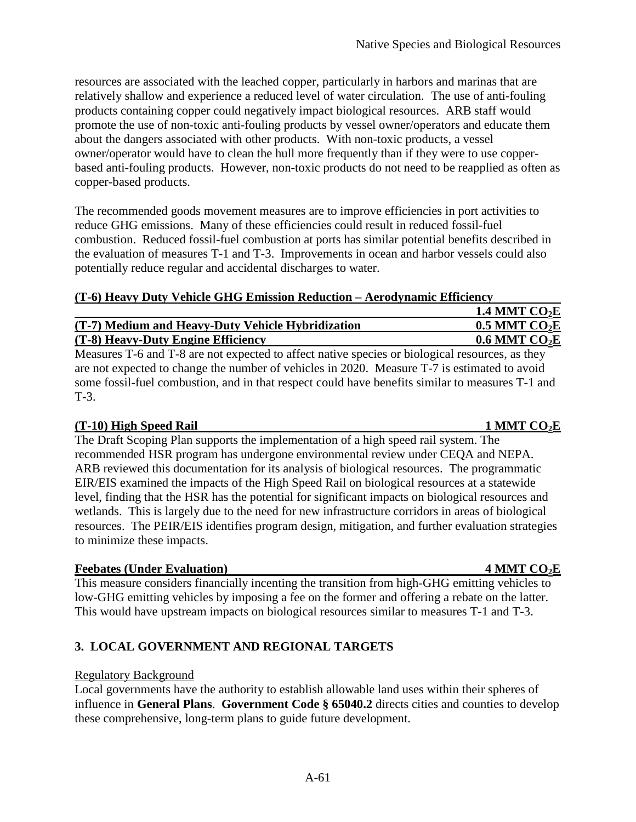resources are associated with the leached copper, particularly in harbors and marinas that are relatively shallow and experience a reduced level of water circulation. The use of anti-fouling products containing copper could negatively impact biological resources. ARB staff would promote the use of non-toxic anti-fouling products by vessel owner/operators and educate them about the dangers associated with other products. With non-toxic products, a vessel owner/operator would have to clean the hull more frequently than if they were to use copper- based anti-fouling products. However, non-toxic products do not need to be reapplied as often as copper-based products.

 The recommended goods movement measures are to improve efficiencies in port activities to reduce GHG emissions. Many of these efficiencies could result in reduced fossil-fuel combustion. Reduced fossil-fuel combustion at ports has similar potential benefits described in the evaluation of measures T-1 and T-3. Improvements in ocean and harbor vessels could also potentially reduce regular and accidental discharges to water.

#### **(T-6) Heavy Duty Vehicle GHG Emission Reduction – Aerodynamic Efficiency**

|                                                   | 1.4 MMT $CO2E$              |
|---------------------------------------------------|-----------------------------|
| (T-7) Medium and Heavy-Duty Vehicle Hybridization | $0.5$ MMT CO <sub>2</sub> E |
| (T-8) Heavy-Duty Engine Efficiency                | $0.6$ MMT CO <sub>2</sub> E |

 Measures T-6 and T-8 are not expected to affect native species or biological resources, as they are not expected to change the number of vehicles in 2020. Measure T-7 is estimated to avoid some fossil-fuel combustion, and in that respect could have benefits similar to measures T-1 and T-3.

## **(T-10) High Speed Rail 1 MMT CO2E**

 The Draft Scoping Plan supports the implementation of a high speed rail system. The recommended HSR program has undergone environmental review under CEQA and NEPA. ARB reviewed this documentation for its analysis of biological resources. The programmatic EIR/EIS examined the impacts of the High Speed Rail on biological resources at a statewide level, finding that the HSR has the potential for significant impacts on biological resources and wetlands. This is largely due to the need for new infrastructure corridors in areas of biological resources. The PEIR/EIS identifies program design, mitigation, and further evaluation strategies to minimize these impacts.

## **Feebates (Under Evaluation)** 4 MMT CO<sub>2</sub>E

 This measure considers financially incenting the transition from high-GHG emitting vehicles to low-GHG emitting vehicles by imposing a fee on the former and offering a rebate on the latter. This would have upstream impacts on biological resources similar to measures T-1 and T-3.

## **3. LOCAL GOVERNMENT AND REGIONAL TARGETS**

#### **Regulatory Background**

 Local governments have the authority to establish allowable land uses within their spheres of influence in **General Plans**. **Government Code § 65040.2** directs cities and counties to develop these comprehensive, long-term plans to guide future development.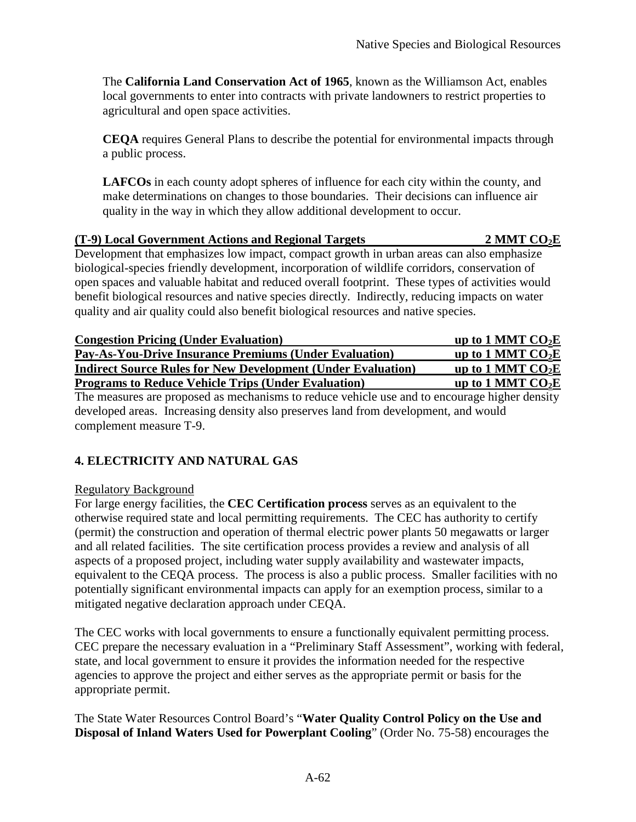The **California Land Conservation Act of 1965**, known as the Williamson Act, enables local governments to enter into contracts with private landowners to restrict properties to agricultural and open space activities.

 **CEQA** requires General Plans to describe the potential for environmental impacts through a public process.

 **LAFCOs** in each county adopt spheres of influence for each city within the county, and make determinations on changes to those boundaries. Their decisions can influence air quality in the way in which they allow additional development to occur.

#### **(T-9) Local Government Actions and Regional Targets 2 MMT CO2E**

 Development that emphasizes low impact, compact growth in urban areas can also emphasize biological-species friendly development, incorporation of wildlife corridors, conservation of open spaces and valuable habitat and reduced overall footprint. These types of activities would benefit biological resources and native species directly. Indirectly, reducing impacts on water quality and air quality could also benefit biological resources and native species.

| <b>Congestion Pricing (Under Evaluation)</b>                        | up to 1 MMT $CO2E$ |
|---------------------------------------------------------------------|--------------------|
| <b>Pay-As-You-Drive Insurance Premiums (Under Evaluation)</b>       | up to 1 MMT $CO2E$ |
| <b>Indirect Source Rules for New Development (Under Evaluation)</b> | up to 1 MMT $CO2E$ |
| <b>Programs to Reduce Vehicle Trips (Under Evaluation)</b>          | up to 1 MMT $CO2E$ |

 The measures are proposed as mechanisms to reduce vehicle use and to encourage higher density developed areas. Increasing density also preserves land from development, and would complement measure T-9.

## **4. ELECTRICITY AND NATURAL GAS**

#### Regulatory Background

 For large energy facilities, the **CEC Certification process** serves as an equivalent to the otherwise required state and local permitting requirements. The CEC has authority to certify (permit) the construction and operation of thermal electric power plants 50 megawatts or larger and all related facilities. The site certification process provides a review and analysis of all aspects of a proposed project, including water supply availability and wastewater impacts, equivalent to the CEQA process. The process is also a public process. Smaller facilities with no potentially significant environmental impacts can apply for an exemption process, similar to a mitigated negative declaration approach under CEQA.

 The CEC works with local governments to ensure a functionally equivalent permitting process. CEC prepare the necessary evaluation in a "Preliminary Staff Assessment", working with federal, state, and local government to ensure it provides the information needed for the respective agencies to approve the project and either serves as the appropriate permit or basis for the appropriate permit.

 The State Water Resources Control Board's "**Water Quality Control Policy on the Use and Disposal of Inland Waters Used for Powerplant Cooling**" (Order No. 75-58) encourages the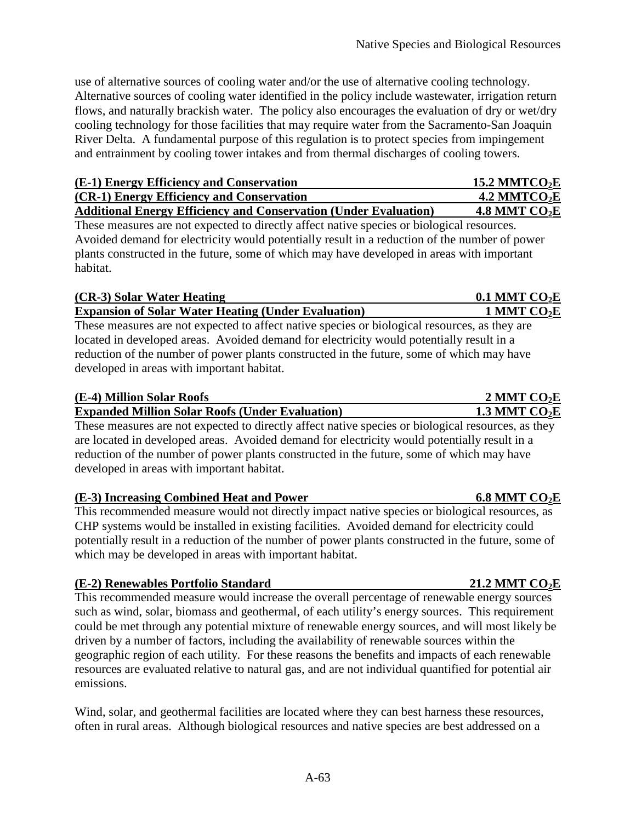use of alternative sources of cooling water and/or the use of alternative cooling technology. Alternative sources of cooling water identified in the policy include wastewater, irrigation return flows, and naturally brackish water. The policy also encourages the evaluation of dry or wet/dry cooling technology for those facilities that may require water from the Sacramento-San Joaquin River Delta. A fundamental purpose of this regulation is to protect species from impingement and entrainment by cooling tower intakes and from thermal discharges of cooling towers.

| (E-1) Energy Efficiency and Conservation                                | <u>15.2 MMTCO2E</u>        |
|-------------------------------------------------------------------------|----------------------------|
| (CR-1) Energy Efficiency and Conservation                               | $4.2$ MMTCO <sub>2</sub> E |
| <b>Additional Energy Efficiency and Conservation (Under Evaluation)</b> | <u>4.8 MMT CO2E</u>        |

 Avoided demand for electricity would potentially result in a reduction of the number of power plants constructed in the future, some of which may have developed in areas with important These measures are not expected to directly affect native species or biological resources. habitat.

## **(CR-3)** Solar Water Heating  $0.1$  MMT CO<sub>2</sub>E **Expansion of Solar Water Heating (Under Evaluation) 1 MMT CO2E**

 These measures are not expected to affect native species or biological resources, as they are located in developed areas. Avoided demand for electricity would potentially result in a reduction of the number of power plants constructed in the future, some of which may have developed in areas with important habitat.

## **(E-4) Million Solar Roofs 2 MMT CO2E Expanded Million Solar Roofs (Under Evaluation) 1.3 MMT CO2E**

 These measures are not expected to directly affect native species or biological resources, as they are located in developed areas. Avoided demand for electricity would potentially result in a reduction of the number of power plants constructed in the future, some of which may have developed in areas with important habitat.

## **(E-3) Increasing Combined Heat and Power 6.8 MMT CO<sub>2</sub>E**

 This recommended measure would not directly impact native species or biological resources, as CHP systems would be installed in existing facilities. Avoided demand for electricity could potentially result in a reduction of the number of power plants constructed in the future, some of which may be developed in areas with important habitat.

## **(E-2) Renewables Portfolio Standard 21.2 MMT CO<sub>2</sub>E**

 This recommended measure would increase the overall percentage of renewable energy sources such as wind, solar, biomass and geothermal, of each utility's energy sources. This requirement could be met through any potential mixture of renewable energy sources, and will most likely be driven by a number of factors, including the availability of renewable sources within the geographic region of each utility. For these reasons the benefits and impacts of each renewable resources are evaluated relative to natural gas, and are not individual quantified for potential air emissions.

 Wind, solar, and geothermal facilities are located where they can best harness these resources, often in rural areas. Although biological resources and native species are best addressed on a

#### A-63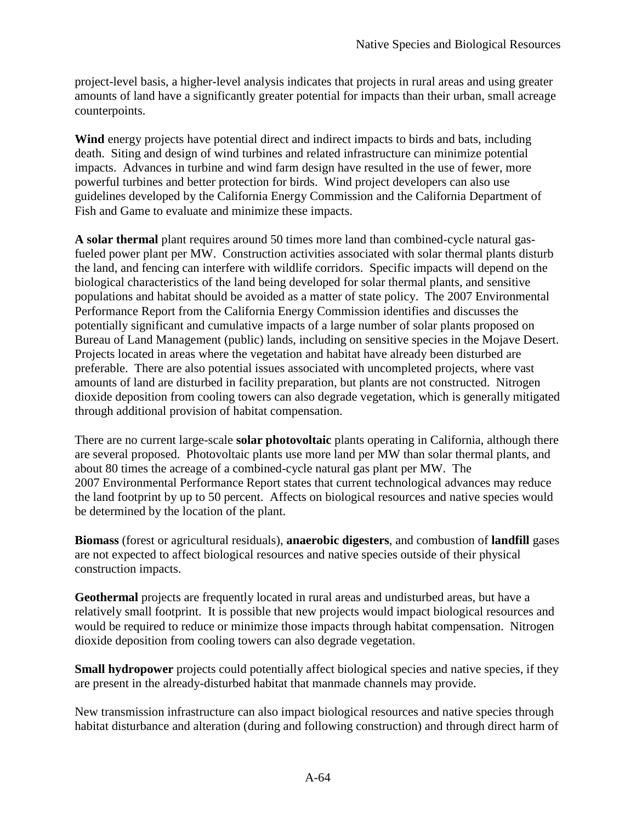project-level basis, a higher-level analysis indicates that projects in rural areas and using greater amounts of land have a significantly greater potential for impacts than their urban, small acreage counterpoints.

 **Wind** energy projects have potential direct and indirect impacts to birds and bats, including death. Siting and design of wind turbines and related infrastructure can minimize potential impacts. Advances in turbine and wind farm design have resulted in the use of fewer, more powerful turbines and better protection for birds. Wind project developers can also use guidelines developed by the California Energy Commission and the California Department of Fish and Game to evaluate and minimize these impacts.

 **A solar thermal** plant requires around 50 times more land than combined-cycle natural gas- fueled power plant per MW. Construction activities associated with solar thermal plants disturb the land, and fencing can interfere with wildlife corridors. Specific impacts will depend on the biological characteristics of the land being developed for solar thermal plants, and sensitive populations and habitat should be avoided as a matter of state policy. The 2007 Environmental Performance Report from the California Energy Commission identifies and discusses the potentially significant and cumulative impacts of a large number of solar plants proposed on Bureau of Land Management (public) lands, including on sensitive species in the Mojave Desert. Projects located in areas where the vegetation and habitat have already been disturbed are preferable. There are also potential issues associated with uncompleted projects, where vast amounts of land are disturbed in facility preparation, but plants are not constructed. Nitrogen dioxide deposition from cooling towers can also degrade vegetation, which is generally mitigated through additional provision of habitat compensation.

 There are no current large-scale **solar photovoltaic** plants operating in California, although there are several proposed. Photovoltaic plants use more land per MW than solar thermal plants, and about 80 times the acreage of a combined-cycle natural gas plant per MW. The 2007 Environmental Performance Report states that current technological advances may reduce the land footprint by up to 50 percent. Affects on biological resources and native species would be determined by the location of the plant.

 **Biomass** (forest or agricultural residuals), **anaerobic digesters**, and combustion of **landfill** gases are not expected to affect biological resources and native species outside of their physical construction impacts.

 **Geothermal** projects are frequently located in rural areas and undisturbed areas, but have a relatively small footprint. It is possible that new projects would impact biological resources and would be required to reduce or minimize those impacts through habitat compensation. Nitrogen dioxide deposition from cooling towers can also degrade vegetation.

 **Small hydropower** projects could potentially affect biological species and native species, if they are present in the already-disturbed habitat that manmade channels may provide.

 New transmission infrastructure can also impact biological resources and native species through habitat disturbance and alteration (during and following construction) and through direct harm of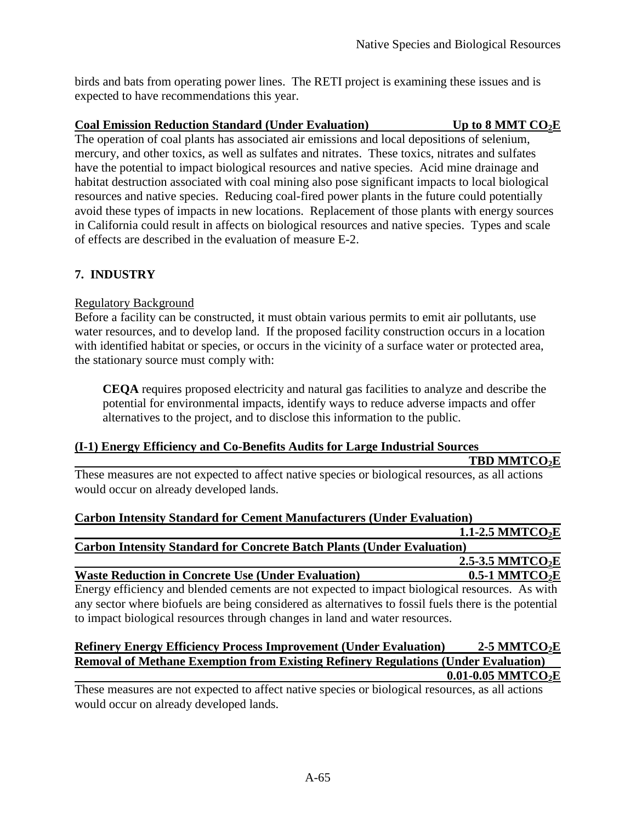birds and bats from operating power lines. The RETI project is examining these issues and is expected to have recommendations this year.

## **Coal Emission Reduction Standard (Under Evaluation)** Up to 8 MMT CO<sub>2</sub>E

 The operation of coal plants has associated air emissions and local depositions of selenium, mercury, and other toxics, as well as sulfates and nitrates. These toxics, nitrates and sulfates have the potential to impact biological resources and native species. Acid mine drainage and habitat destruction associated with coal mining also pose significant impacts to local biological resources and native species. Reducing coal-fired power plants in the future could potentially avoid these types of impacts in new locations. Replacement of those plants with energy sources in California could result in affects on biological resources and native species. Types and scale of effects are described in the evaluation of measure E-2.

## **7. INDUSTRY**

## **Regulatory Background**

 Before a facility can be constructed, it must obtain various permits to emit air pollutants, use water resources, and to develop land. If the proposed facility construction occurs in a location with identified habitat or species, or occurs in the vicinity of a surface water or protected area, the stationary source must comply with:

 **CEQA** requires proposed electricity and natural gas facilities to analyze and describe the potential for environmental impacts, identify ways to reduce adverse impacts and offer alternatives to the project, and to disclose this information to the public.

### **(I-1) Energy Efficiency and Co-Benefits Audits for Large Industrial Sources**

**TBD MMTCO2E** 

 These measures are not expected to affect native species or biological resources, as all actions would occur on already developed lands.

| <b>Carbon Intensity Standard for Cement Manufacturers (Under Evaluation)</b>                         |                              |
|------------------------------------------------------------------------------------------------------|------------------------------|
|                                                                                                      | 1.1-2.5 MMTCO <sub>2</sub> E |
| <b>Carbon Intensity Standard for Concrete Batch Plants (Under Evaluation)</b>                        |                              |
|                                                                                                      | 2.5-3.5 MMTCO <sub>2</sub> E |
| <b>Waste Reduction in Concrete Use (Under Evaluation)</b>                                            | $0.5-1$ MMTCO <sub>2</sub> E |
| Energy efficiency and blended cements are not expected to impact biological resources. As with       |                              |
| any sector where highels are being considered as alternatives to fossil fuels there is the notantial |                              |

 any sector where biofuels are being considered as alternatives to fossil fuels there is the potential to impact biological resources through changes in land and water resources.

### **Refinery Energy Efficiency Process Improvement (Under Evaluation) 2-5 MMTCO<sub>2</sub>E Removal of Methane Exemption from Existing Refinery Regulations (Under Evaluation) [0.01-0.05](https://0.01-0.05) MMTCO2E**

 These measures are not expected to affect native species or biological resources, as all actions would occur on already developed lands.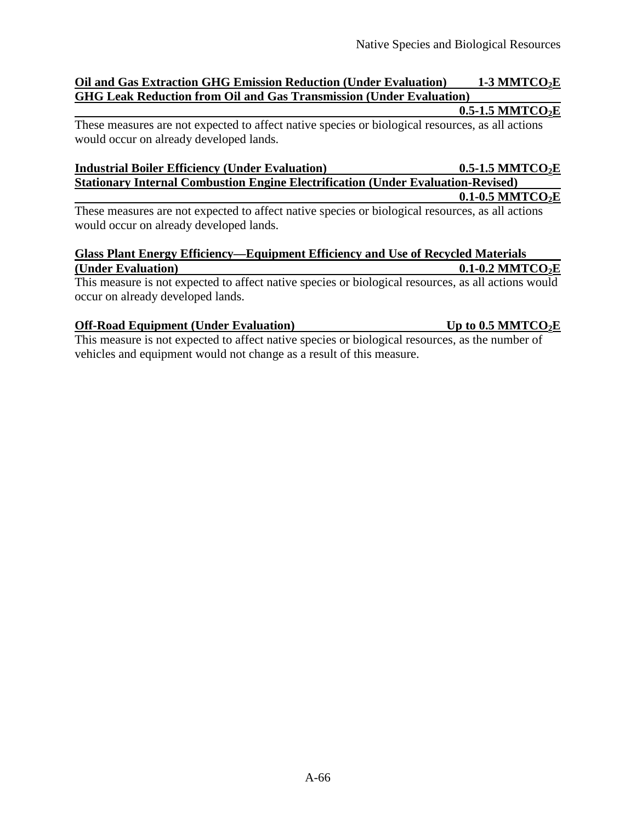### **Oil and Gas Extraction GHG Emission Reduction (Under Evaluation) 1-3 MMTCO2E GHG Leak Reduction from Oil and Gas Transmission (Under Evaluation)**

#### 0.5-1.5 **MMTCO**<sub>2</sub>**E**

 These measures are not expected to affect native species or biological resources, as all actions would occur on already developed lands.

| <b>Industrial Boiler Efficiency (Under Evaluation)</b>                                  | $0.5$ -1.5 MMTCO <sub>2</sub> E |
|-----------------------------------------------------------------------------------------|---------------------------------|
| <b>Stationary Internal Combustion Engine Electrification (Under Evaluation-Revised)</b> |                                 |
|                                                                                         | $0.1$ -0.5 MMTCO <sub>2</sub> E |

 These measures are not expected to affect native species or biological resources, as all actions would occur on already developed lands.

#### **Glass Plant Energy Efficiency—Equipment Efficiency and Use of Recycled Materials (Under Evaluation)** 0.1-0.2 MMTCO<sub>2</sub>E

 This measure is not expected to affect native species or biological resources, as all actions would occur on already developed lands.

### **Off-Road Equipment (Under Evaluation)** Up to 0.5 MMTCO<sub>2</sub>E

 This measure is not expected to affect native species or biological resources, as the number of vehicles and equipment would not change as a result of this measure.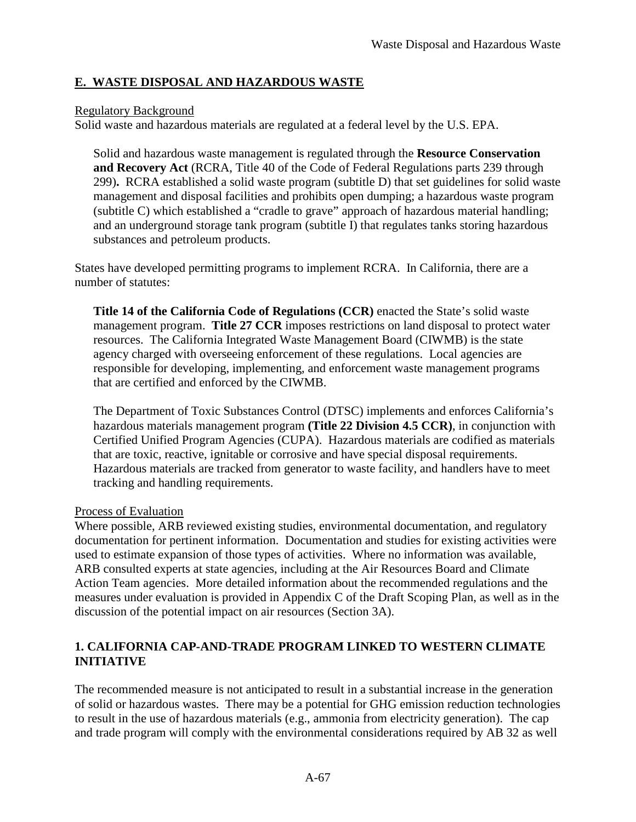## **E. WASTE DISPOSAL AND HAZARDOUS WASTE**

### Regulatory Background

Solid waste and hazardous materials are regulated at a federal level by the U.S. EPA.

 Solid and hazardous waste management is regulated through the **Resource Conservation and Recovery Act** (RCRA, Title 40 of the Code of Federal Regulations parts 239 through  299)**.** RCRA established a solid waste program (subtitle D) that set guidelines for solid waste management and disposal facilities and prohibits open dumping; a hazardous waste program (subtitle C) which established a "cradle to grave" approach of hazardous material handling; and an underground storage tank program (subtitle I) that regulates tanks storing hazardous substances and petroleum products.

 States have developed permitting programs to implement RCRA. In California, there are a number of statutes:

 **Title 14 of the California Code of Regulations (CCR)** enacted the State's solid waste management program. **Title 27 CCR** imposes restrictions on land disposal to protect water resources. The California Integrated Waste Management Board (CIWMB) is the state agency charged with overseeing enforcement of these regulations. Local agencies are responsible for developing, implementing, and enforcement waste management programs that are certified and enforced by the CIWMB.

 The Department of Toxic Substances Control (DTSC) implements and enforces California's hazardous materials management program **(Title 22 Division 4.5 CCR)**, in conjunction with Certified Unified Program Agencies (CUPA). Hazardous materials are codified as materials that are toxic, reactive, ignitable or corrosive and have special disposal requirements. Hazardous materials are tracked from generator to waste facility, and handlers have to meet tracking and handling requirements.

### Process of Evaluation

 Where possible, ARB reviewed existing studies, environmental documentation, and regulatory documentation for pertinent information. Documentation and studies for existing activities were used to estimate expansion of those types of activities. Where no information was available, ARB consulted experts at state agencies, including at the Air Resources Board and Climate Action Team agencies. More detailed information about the recommended regulations and the measures under evaluation is provided in Appendix C of the Draft Scoping Plan, as well as in the discussion of the potential impact on air resources (Section 3A).

## **1. CALIFORNIA CAP-AND-TRADE PROGRAM LINKED TO WESTERN CLIMATE INITIATIVE**

 The recommended measure is not anticipated to result in a substantial increase in the generation of solid or hazardous wastes. There may be a potential for GHG emission reduction technologies to result in the use of hazardous materials (e.g., ammonia from electricity generation). The cap and trade program will comply with the environmental considerations required by AB 32 as well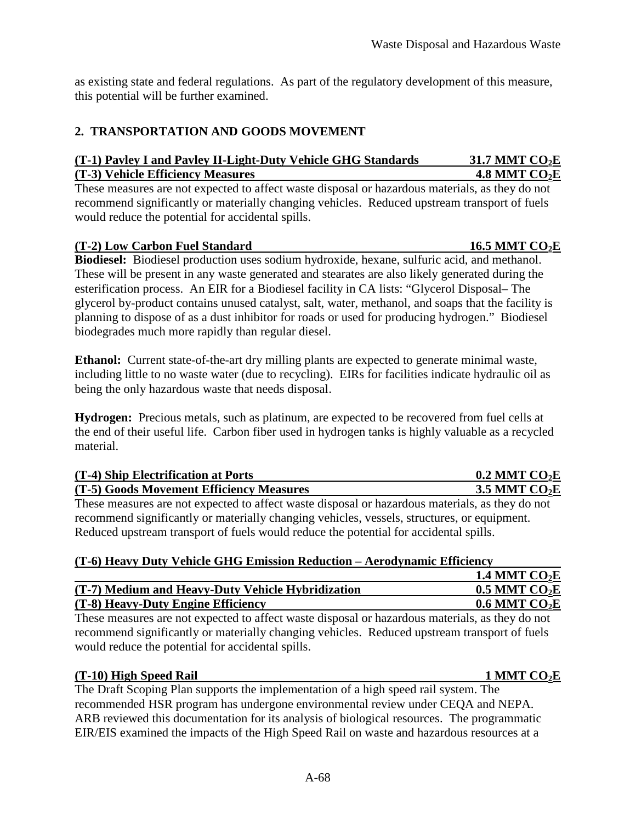as existing state and federal regulations. As part of the regulatory development of this measure, this potential will be further examined.

## **2. TRANSPORTATION AND GOODS MOVEMENT**

## **(T-1) Pavley I and Pavley II-Light-Duty Vehicle GHG Standards 31.7 MMT CO<sub>2</sub>E 1.8 MMT CO<sub>2</sub>E <b>1.8 MMT** CO<sub>2</sub>E

 These measures are not expected to affect waste disposal or hazardous materials, as they do not recommend significantly or materially changing vehicles. Reduced upstream transport of fuels would reduce the potential for accidental spills.

## **16.5 MMT CO<sub>2</sub>E <b>16.5 MMT** CO<sub>2</sub>E

 **Biodiesel:** Biodiesel production uses sodium hydroxide, hexane, sulfuric acid, and methanol. These will be present in any waste generated and stearates are also likely generated during the esterification process. An EIR for a Biodiesel facility in CA lists: "Glycerol Disposal– The glycerol by-product contains unused catalyst, salt, water, methanol, and soaps that the facility is planning to dispose of as a dust inhibitor for roads or used for producing hydrogen." Biodiesel biodegrades much more rapidly than regular diesel.

Ethanol: Current state-of-the-art dry milling plants are expected to generate minimal waste, including little to no waste water (due to recycling). EIRs for facilities indicate hydraulic oil as being the only hazardous waste that needs disposal.

Hydrogen: Precious metals, such as platinum, are expected to be recovered from fuel cells at the end of their useful life. Carbon fiber used in hydrogen tanks is highly valuable as a recycled material.

| (T-4) Ship Electrification at Ports                                                             | $0.2$ MMT CO <sub>2</sub> E |
|-------------------------------------------------------------------------------------------------|-----------------------------|
| (T-5) Goods Movement Efficiency Measures                                                        | 3.5 MMT $CO2E$              |
| These measures are not expected to affect waste disposal or hazardous materials, as they do not |                             |
| recommend significantly or materially changing vehicles, vessels, structures, or equipment.     |                             |

Reduced upstream transport of fuels would reduce the potential for accidental spills.

# **(T-6) Heavy Duty Vehicle GHG Emission Reduction – Aerodynamic Efficiency**

|                                                   | 1.4 MMT $CO2E$              |
|---------------------------------------------------|-----------------------------|
| (T-7) Medium and Heavy-Duty Vehicle Hybridization | $0.5$ MMT CO <sub>2</sub> E |
| (T-8) Heavy-Duty Engine Efficiency                | $0.6$ MMT CO <sub>2</sub> E |

 These measures are not expected to affect waste disposal or hazardous materials, as they do not recommend significantly or materially changing vehicles. Reduced upstream transport of fuels would reduce the potential for accidental spills.

## **(T-10) High Speed Rail 1 MMT CO2E**

 The Draft Scoping Plan supports the implementation of a high speed rail system. The recommended HSR program has undergone environmental review under CEQA and NEPA. ARB reviewed this documentation for its analysis of biological resources. The programmatic EIR/EIS examined the impacts of the High Speed Rail on waste and hazardous resources at a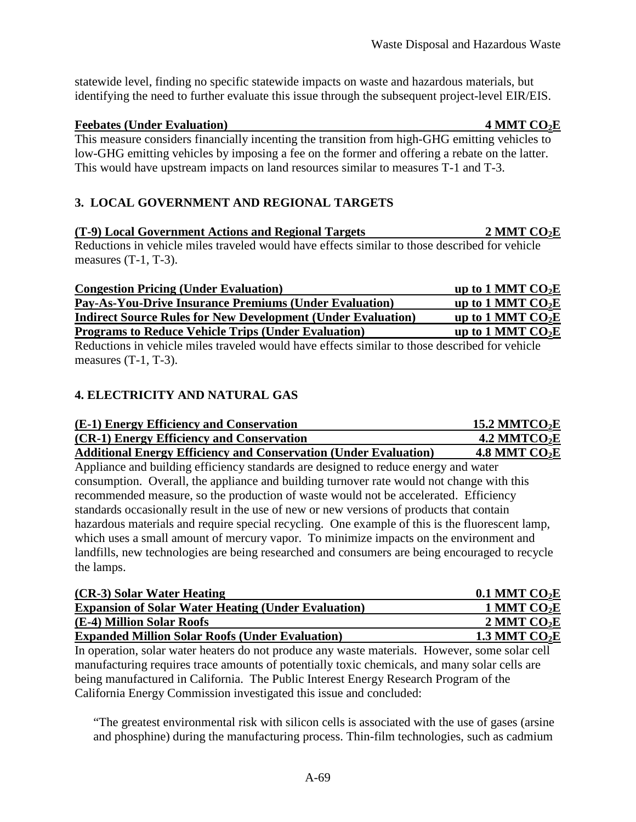statewide level, finding no specific statewide impacts on waste and hazardous materials, but identifying the need to further evaluate this issue through the subsequent project-level EIR/EIS.

### **Feebates (Under Evaluation)** 4 MMT CO<sub>2</sub>E

 This measure considers financially incenting the transition from high-GHG emitting vehicles to low-GHG emitting vehicles by imposing a fee on the former and offering a rebate on the latter. This would have upstream impacts on land resources similar to measures T-1 and T-3.

# **3. LOCAL GOVERNMENT AND REGIONAL TARGETS**

 **(T-9) Local Government Actions and Regional Targets 2 MMT CO2E**  Reductions in vehicle miles traveled would have effects similar to those described for vehicle measures  $(T-1, T-3)$ .

| <b>Congestion Pricing (Under Evaluation)</b>                        | up to 1 MMT $CO2E$ |
|---------------------------------------------------------------------|--------------------|
| <b>Pay-As-You-Drive Insurance Premiums (Under Evaluation)</b>       | up to 1 MMT $CO2E$ |
| <b>Indirect Source Rules for New Development (Under Evaluation)</b> | up to 1 MMT $CO2E$ |
| <b>Programs to Reduce Vehicle Trips (Under Evaluation)</b>          | up to 1 MMT $CO2E$ |
|                                                                     |                    |

 Reductions in vehicle miles traveled would have effects similar to those described for vehicle measures  $(T-1, T-3)$ .

# **4. ELECTRICITY AND NATURAL GAS**

| (E-1) Energy Efficiency and Conservation                                | <u>15.2 MMTCO2E</u>        |
|-------------------------------------------------------------------------|----------------------------|
| (CR-1) Energy Efficiency and Conservation                               | $4.2$ MMTCO <sub>2</sub> E |
| <b>Additional Energy Efficiency and Conservation (Under Evaluation)</b> | <u>4.8 MMT CO2E</u>        |

 Appliance and building efficiency standards are designed to reduce energy and water consumption. Overall, the appliance and building turnover rate would not change with this recommended measure, so the production of waste would not be accelerated. Efficiency standards occasionally result in the use of new or new versions of products that contain hazardous materials and require special recycling. One example of this is the fluorescent lamp, which uses a small amount of mercury vapor. To minimize impacts on the environment and landfills, new technologies are being researched and consumers are being encouraged to recycle the lamps.

| (CR-3) Solar Water Heating                                 | 0.1 MMT $CO2E$      |
|------------------------------------------------------------|---------------------|
| <b>Expansion of Solar Water Heating (Under Evaluation)</b> | 1 MMT $CO2E$        |
| (E-4) Million Solar Roofs                                  | 2 MMT $CO2E$        |
| <b>Expanded Million Solar Roofs (Under Evaluation)</b>     | <u>1.3 MMT CO2E</u> |

 In operation, solar water heaters do not produce any waste materials. However, some solar cell manufacturing requires trace amounts of potentially toxic chemicals, and many solar cells are being manufactured in California. The Public Interest Energy Research Program of the California Energy Commission investigated this issue and concluded:

 "The greatest environmental risk with silicon cells is associated with the use of gases (arsine and phosphine) during the manufacturing process. Thin-film technologies, such as cadmium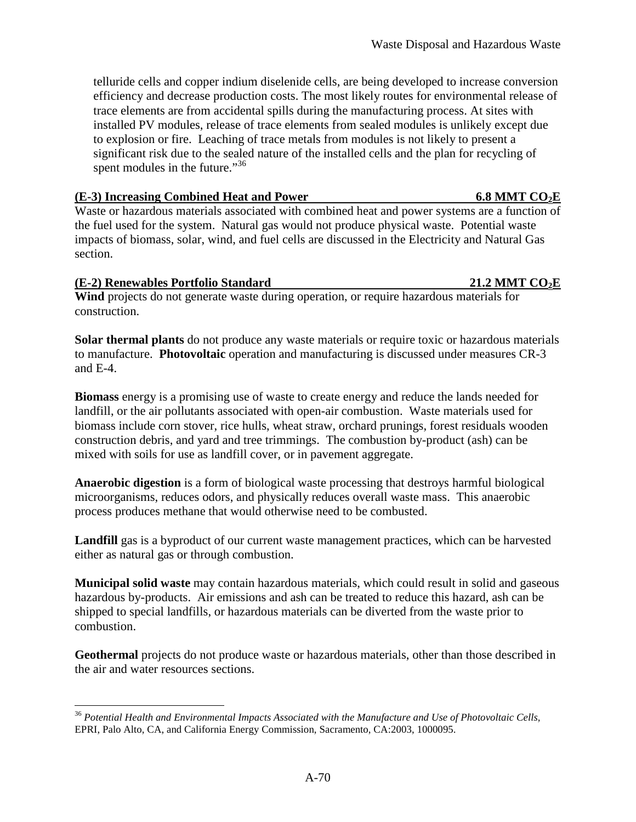telluride cells and copper indium diselenide cells, are being developed to increase conversion efficiency and decrease production costs. The most likely routes for environmental release of trace elements are from accidental spills during the manufacturing process. At sites with installed PV modules, release of trace elements from sealed modules is unlikely except due to explosion or fire. Leaching of trace metals from modules is not likely to present a significant risk due to the sealed nature of the installed cells and the plan for recycling of spent modules in the future."<sup>36</sup>

#### **(E-3) Increasing Combined Heat and Power 6.8 MMT CO<sub>2</sub>E**

 Waste or hazardous materials associated with combined heat and power systems are a function of the fuel used for the system. Natural gas would not produce physical waste. Potential waste impacts of biomass, solar, wind, and fuel cells are discussed in the Electricity and Natural Gas section.

#### **(E-2) Renewables Portfolio Standard 21.2 MMT CO2E**

<u>.</u>

 **Wind** projects do not generate waste during operation, or require hazardous materials for construction.

 **Solar thermal plants** do not produce any waste materials or require toxic or hazardous materials to manufacture. **Photovoltaic** operation and manufacturing is discussed under measures CR-3 and E-4.

 **Biomass** energy is a promising use of waste to create energy and reduce the lands needed for landfill, or the air pollutants associated with open-air combustion. Waste materials used for biomass include corn stover, rice hulls, wheat straw, orchard prunings, forest residuals wooden construction debris, and yard and tree trimmings. The combustion by-product (ash) can be mixed with soils for use as landfill cover, or in pavement aggregate.

 **Anaerobic digestion** is a form of biological waste processing that destroys harmful biological microorganisms, reduces odors, and physically reduces overall waste mass. This anaerobic process produces methane that would otherwise need to be combusted.

 **Landfill** gas is a byproduct of our current waste management practices, which can be harvested either as natural gas or through combustion.

 **Municipal solid waste** may contain hazardous materials, which could result in solid and gaseous hazardous by-products. Air emissions and ash can be treated to reduce this hazard, ash can be shipped to special landfills, or hazardous materials can be diverted from the waste prior to combustion.

 **Geothermal** projects do not produce waste or hazardous materials, other than those described in the air and water resources sections.

 EPRI, Palo Alto, CA, and California Energy Commission, Sacramento, CA:2003, 1000095. <sup>36</sup>*Potential Health and Environmental Impacts Associated with the Manufacture and Use of Photovoltaic Cells,*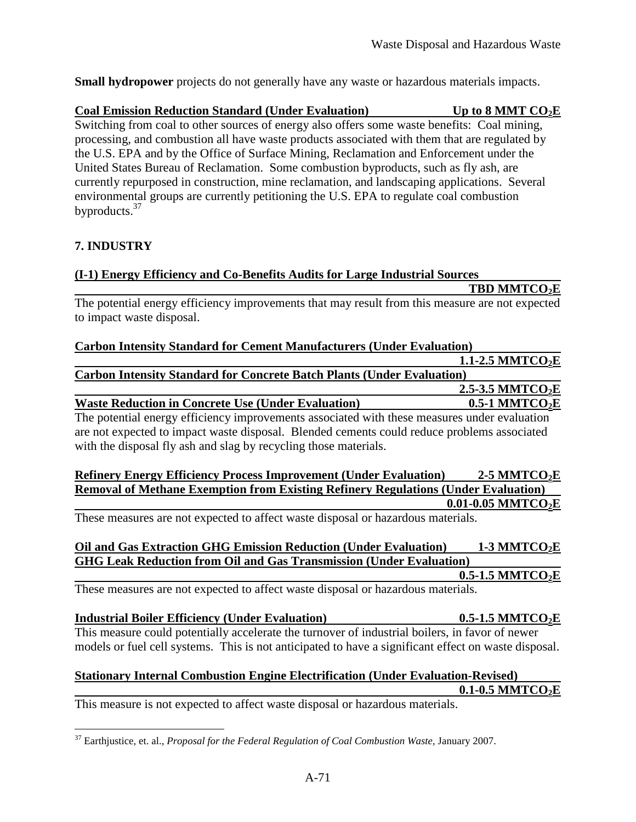**Small hydropower** projects do not generally have any waste or hazardous materials impacts.

#### **Coal Emission Reduction Standard (Under Evaluation)** Up to 8 MMT CO<sub>2</sub>E Switching from coal to other sources of energy also offers some waste benefits: Coal mining, processing, and combustion all have waste products associated with them that are regulated by the U.S. EPA and by the Office of Surface Mining, Reclamation and Enforcement under the United States Bureau of Reclamation. Some combustion byproducts, such as fly ash, are currently repurposed in construction, mine reclamation, and landscaping applications. Several environmental groups are currently petitioning the U.S. EPA to regulate coal combustion [byproducts.](https://byproducts.37)<sup>37</sup>

# **7. INDUSTRY**

### **(I-1) Energy Efficiency and Co-Benefits Audits for Large Industrial Sources**

**TBD MMTCO<sub>2</sub>E** 

 The potential energy efficiency improvements that may result from this measure are not expected to impact waste disposal.

#### **Carbon Intensity Standard for Cement Manufacturers (Under Evaluation)**

# **Carbon Intensity Standard for Concrete Batch Plants (Under Evaluation) 1.1-2.5 MMTCO<sub>2</sub>E** 2.5-3.5 MMTCO<sub>2</sub>E

# **Waste Reduction in Concrete Use (Under Evaluation) 0.5-1 MMTCO<sub>2</sub>E**

 The potential energy efficiency improvements associated with these measures under evaluation are not expected to impact waste disposal. Blended cements could reduce problems associated with the disposal fly ash and slag by recycling those materials.

#### **Refinery Energy Efficiency Process Improvement (Under Evaluation) 2-5 MMTCO2E Removal of Methane Exemption from Existing Refinery Regulations (Under Evaluation) [0.01-0.05](https://0.01-0.05) MMTCO2E**

These measures are not expected to affect waste disposal or hazardous materials.

# **Oil and Gas Extraction GHG Emission Reduction (Under Evaluation) 1-3 MMTCO2E GHG Leak Reduction from Oil and Gas Transmission (Under Evaluation)**

0.5-1.5 MMTCO<sub>2</sub>E

These measures are not expected to affect waste disposal or hazardous materials.

# **Industrial Boiler Efficiency (Under Evaluation) 0.5-1.5 MMTCO2E**  This measure could potentially accelerate the turnover of industrial boilers, in favor of newer

models or fuel cell systems. This is not anticipated to have a significant effect on waste disposal.

#### **Stationary Internal Combustion Engine Electrification (Under Evaluation-Revised)**  0.1-0.5 MMTCO<sub>2</sub>E

This measure is not expected to affect waste disposal or hazardous materials.

<u>.</u> 37 Earthjustice, et. al., *Proposal for the Federal Regulation of Coal Combustion Waste*, January 2007.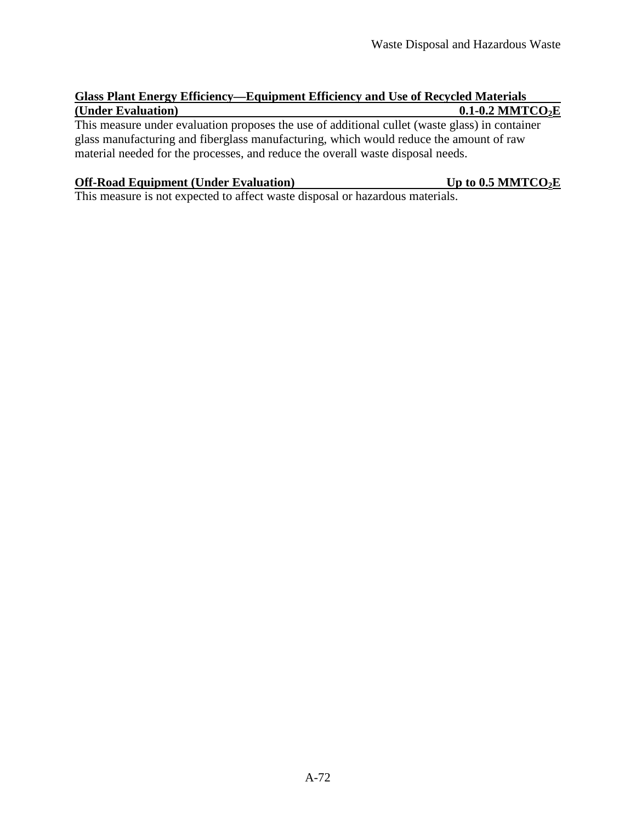# **Glass Plant Energy Efficiency—Equipment Efficiency and Use of Recycled Materials (Under Evaluation)** 0.1-0.2 MMTCO<sub>2</sub>E

 This measure under evaluation proposes the use of additional cullet (waste glass) in container glass manufacturing and fiberglass manufacturing, which would reduce the amount of raw material needed for the processes, and reduce the overall waste disposal needs.

# **Off-Road Equipment (Under Evaluation)** Up to 0.5 MMTCO<sub>2</sub>E

This measure is not expected to affect waste disposal or hazardous materials.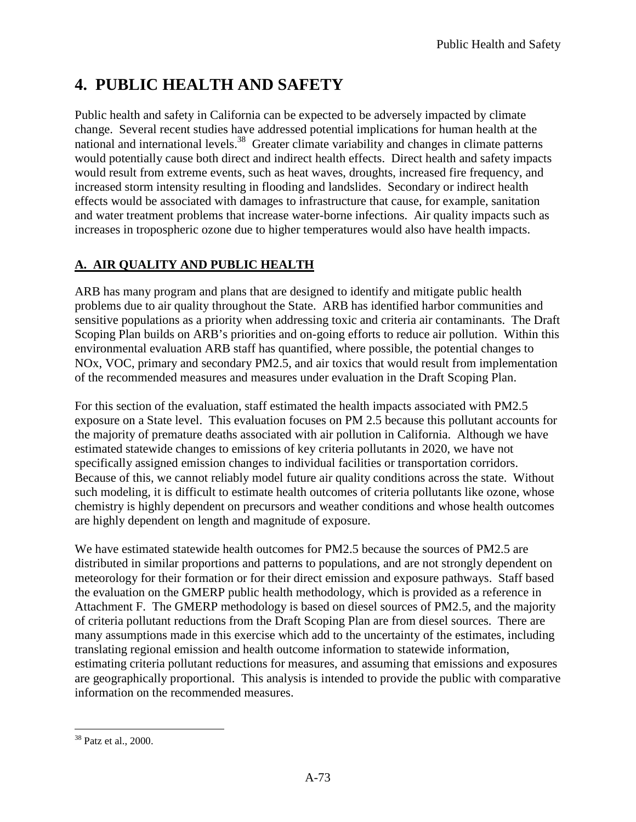# **4. PUBLIC HEALTH AND SAFETY**

 Public health and safety in California can be expected to be adversely impacted by climate change. Several recent studies have addressed potential implications for human health at the national and international [levels.](https://levels.38)<sup>38</sup> Greater climate variability and changes in climate patterns would potentially cause both direct and indirect health effects. Direct health and safety impacts would result from extreme events, such as heat waves, droughts, increased fire frequency, and increased storm intensity resulting in flooding and landslides. Secondary or indirect health effects would be associated with damages to infrastructure that cause, for example, sanitation and water treatment problems that increase water-borne infections. Air quality impacts such as increases in tropospheric ozone due to higher temperatures would also have health impacts.

# **A. AIR QUALITY AND PUBLIC HEALTH**

 ARB has many program and plans that are designed to identify and mitigate public health problems due to air quality throughout the State. ARB has identified harbor communities and sensitive populations as a priority when addressing toxic and criteria air contaminants. The Draft Scoping Plan builds on ARB's priorities and on-going efforts to reduce air pollution. Within this environmental evaluation ARB staff has quantified, where possible, the potential changes to NOx, VOC, primary and secondary PM2.5, and air toxics that would result from implementation of the recommended measures and measures under evaluation in the Draft Scoping Plan.

 For this section of the evaluation, staff estimated the health impacts associated with PM2.5 exposure on a State level. This evaluation focuses on PM 2.5 because this pollutant accounts for the majority of premature deaths associated with air pollution in California. Although we have estimated statewide changes to emissions of key criteria pollutants in 2020, we have not specifically assigned emission changes to individual facilities or transportation corridors. Because of this, we cannot reliably model future air quality conditions across the state. Without such modeling, it is difficult to estimate health outcomes of criteria pollutants like ozone, whose chemistry is highly dependent on precursors and weather conditions and whose health outcomes are highly dependent on length and magnitude of exposure.

 We have estimated statewide health outcomes for PM2.5 because the sources of PM2.5 are distributed in similar proportions and patterns to populations, and are not strongly dependent on meteorology for their formation or for their direct emission and exposure pathways. Staff based the evaluation on the GMERP public health methodology, which is provided as a reference in Attachment F. The GMERP methodology is based on diesel sources of PM2.5, and the majority of criteria pollutant reductions from the Draft Scoping Plan are from diesel sources. There are many assumptions made in this exercise which add to the uncertainty of the estimates, including translating regional emission and health outcome information to statewide information, estimating criteria pollutant reductions for measures, and assuming that emissions and exposures are geographically proportional. This analysis is intended to provide the public with comparative information on the recommended measures.

<sup>&</sup>lt;u>.</u> 38 Patz et al., 2000.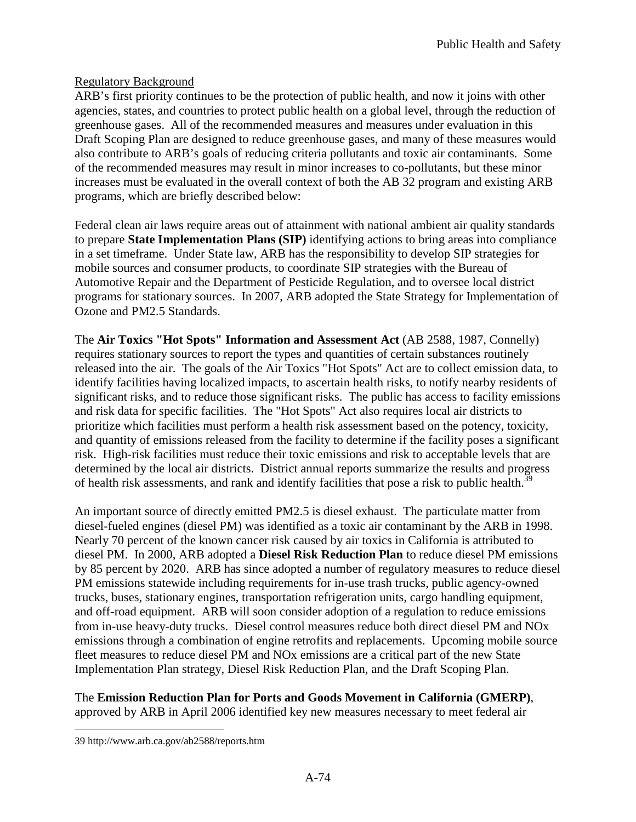## **Regulatory Background**

 ARB's first priority continues to be the protection of public health, and now it joins with other agencies, states, and countries to protect public health on a global level, through the reduction of greenhouse gases. All of the recommended measures and measures under evaluation in this Draft Scoping Plan are designed to reduce greenhouse gases, and many of these measures would also contribute to ARB's goals of reducing criteria pollutants and toxic air contaminants. Some of the recommended measures may result in minor increases to co-pollutants, but these minor increases must be evaluated in the overall context of both the AB 32 program and existing ARB programs, which are briefly described below:

 Federal clean air laws require areas out of attainment with national ambient air quality standards to prepare **State Implementation Plans (SIP)** identifying actions to bring areas into compliance in a set timeframe. Under State law, ARB has the responsibility to develop SIP strategies for mobile sources and consumer products, to coordinate SIP strategies with the Bureau of Automotive Repair and the Department of Pesticide Regulation, and to oversee local district programs for stationary sources. In 2007, ARB adopted the State Strategy for Implementation of Ozone and PM2.5 Standards.

 The **Air Toxics "Hot Spots" Information and Assessment Act** (AB 2588, 1987, Connelly) requires stationary sources to report the types and quantities of certain substances routinely released into the air. The goals of the Air Toxics "Hot Spots" Act are to collect emission data, to identify facilities having localized impacts, to ascertain health risks, to notify nearby residents of significant risks, and to reduce those significant risks. The public has access to facility emissions and risk data for specific facilities. The "Hot Spots" Act also requires local air districts to prioritize which facilities must perform a health risk assessment based on the potency, toxicity, and quantity of emissions released from the facility to determine if the facility poses a significant risk. High-risk facilities must reduce their toxic emissions and risk to acceptable levels that are determined by the local air districts. District annual reports summarize the results and progress of health risk assessments, and rank and identify facilities that pose a risk to public health.<sup>39</sup>

 An important source of directly emitted PM2.5 is diesel exhaust. The particulate matter from diesel-fueled engines (diesel PM) was identified as a toxic air contaminant by the ARB in 1998. Nearly 70 percent of the known cancer risk caused by air toxics in California is attributed to diesel PM. In 2000, ARB adopted a **Diesel Risk Reduction Plan** to reduce diesel PM emissions by 85 percent by 2020. ARB has since adopted a number of regulatory measures to reduce diesel PM emissions statewide including requirements for in-use trash trucks, public agency-owned trucks, buses, stationary engines, transportation refrigeration units, cargo handling equipment, and off-road equipment. ARB will soon consider adoption of a regulation to reduce emissions from in-use heavy-duty trucks. Diesel control measures reduce both direct diesel PM and NOx emissions through a combination of engine retrofits and replacements. Upcoming mobile source fleet measures to reduce diesel PM and NOx emissions are a critical part of the new State Implementation Plan strategy, Diesel Risk Reduction Plan, and the Draft Scoping Plan.

 The **Emission Reduction Plan for Ports and Goods Movement in California (GMERP)**, approved by ARB in April 2006 identified key new measures necessary to meet federal air

 $\overline{a}$ 

<sup>39</sup> <http://www.arb.ca.gov/ab2588/reports.htm>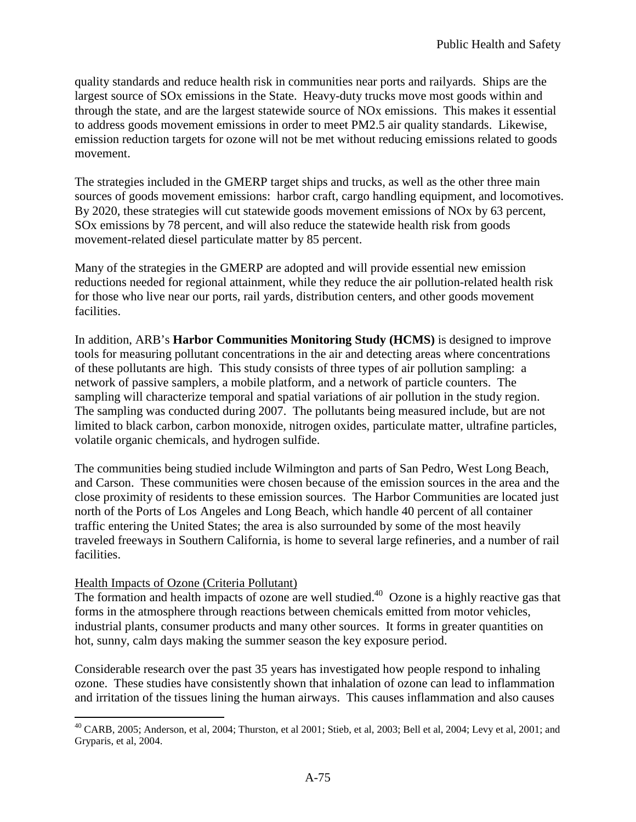quality standards and reduce health risk in communities near ports and railyards. Ships are the largest source of SOx emissions in the State. Heavy-duty trucks move most goods within and through the state, and are the largest statewide source of NOx emissions. This makes it essential to address goods movement emissions in order to meet PM2.5 air quality standards. Likewise, emission reduction targets for ozone will not be met without reducing emissions related to goods movement.

 The strategies included in the GMERP target ships and trucks, as well as the other three main sources of goods movement emissions: harbor craft, cargo handling equipment, and locomotives. By 2020, these strategies will cut statewide goods movement emissions of NOx by 63 percent, SOx emissions by 78 percent, and will also reduce the statewide health risk from goods movement-related diesel particulate matter by 85 percent.

 Many of the strategies in the GMERP are adopted and will provide essential new emission reductions needed for regional attainment, while they reduce the air pollution-related health risk for those who live near our ports, rail yards, distribution centers, and other goods movement facilities.

 In addition, ARB's **Harbor Communities Monitoring Study (HCMS)** is designed to improve tools for measuring pollutant concentrations in the air and detecting areas where concentrations of these pollutants are high. This study consists of three types of air pollution sampling: a network of passive samplers, a mobile platform, and a network of particle counters. The sampling will characterize temporal and spatial variations of air pollution in the study region. The sampling was conducted during 2007. The pollutants being measured include, but are not limited to black carbon, carbon monoxide, nitrogen oxides, particulate matter, ultrafine particles, volatile organic chemicals, and hydrogen sulfide.

 The communities being studied include Wilmington and parts of San Pedro, West Long Beach, and Carson. These communities were chosen because of the emission sources in the area and the close proximity of residents to these emission sources. The Harbor Communities are located just north of the Ports of Los Angeles and Long Beach, which handle 40 percent of all container traffic entering the United States; the area is also surrounded by some of the most heavily traveled freeways in Southern California, is home to several large refineries, and a number of rail facilities.

### Health Impacts of Ozone (Criteria Pollutant)

The formation and health impacts of ozone are well studied.<sup>40</sup> Ozone is a highly reactive gas that forms in the atmosphere through reactions between chemicals emitted from motor vehicles, industrial plants, consumer products and many other sources. It forms in greater quantities on hot, sunny, calm days making the summer season the key exposure period.

 Considerable research over the past 35 years has investigated how people respond to inhaling ozone. These studies have consistently shown that inhalation of ozone can lead to inflammation and irritation of the tissues lining the human airways. This causes inflammation and also causes

<sup>&</sup>lt;u>.</u>  $^{40}$  CARB, 2005; Anderson, et al, 2004; Thurston, et al 2001; Stieb, et al, 2003; Bell et al, 2004; Levy et al, 2001; and Gryparis, et al, 2004.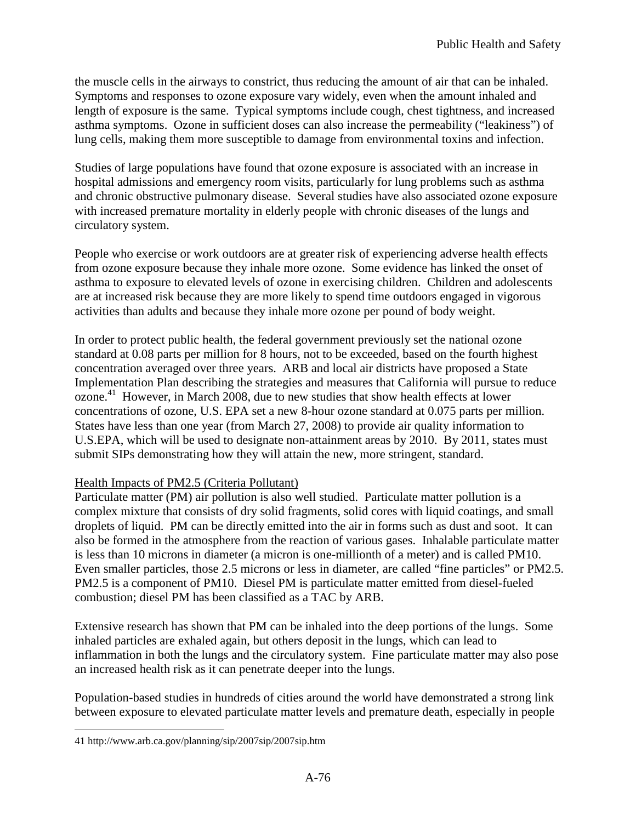the muscle cells in the airways to constrict, thus reducing the amount of air that can be inhaled. Symptoms and responses to ozone exposure vary widely, even when the amount inhaled and length of exposure is the same. Typical symptoms include cough, chest tightness, and increased asthma symptoms. Ozone in sufficient doses can also increase the permeability ("leakiness") of lung cells, making them more susceptible to damage from environmental toxins and infection.

 Studies of large populations have found that ozone exposure is associated with an increase in hospital admissions and emergency room visits, particularly for lung problems such as asthma and chronic obstructive pulmonary disease. Several studies have also associated ozone exposure with increased premature mortality in elderly people with chronic diseases of the lungs and circulatory system.

 People who exercise or work outdoors are at greater risk of experiencing adverse health effects from ozone exposure because they inhale more ozone. Some evidence has linked the onset of asthma to exposure to elevated levels of ozone in exercising children. Children and adolescents are at increased risk because they are more likely to spend time outdoors engaged in vigorous activities than adults and because they inhale more ozone per pound of body weight.

 In order to protect public health, the federal government previously set the national ozone standard at 0.08 parts per million for 8 hours, not to be exceeded, based on the fourth highest concentration averaged over three years. ARB and local air districts have proposed a State Implementation Plan describing the strategies and measures that California will pursue to reduce [ozone.](https://ozone.41)<sup>41</sup> However, in March 2008, due to new studies that show health effects at lower concentrations of ozone, U.S. EPA set a new 8-hour ozone standard at 0.075 parts per million. States have less than one year (from March 27, 2008) to provide air quality information to U.S.EPA, which will be used to designate non-attainment areas by 2010. By 2011, states must submit SIPs demonstrating how they will attain the new, more stringent, standard.

## Health Impacts of PM2.5 (Criteria Pollutant)

 Particulate matter (PM) air pollution is also well studied. Particulate matter pollution is a complex mixture that consists of dry solid fragments, solid cores with liquid coatings, and small droplets of liquid. PM can be directly emitted into the air in forms such as dust and soot. It can also be formed in the atmosphere from the reaction of various gases. Inhalable particulate matter is less than 10 microns in diameter (a micron is one-millionth of a meter) and is called PM10. Even smaller particles, those 2.5 microns or less in diameter, are called "fine particles" or PM2.5. PM2.5 is a component of PM10. Diesel PM is particulate matter emitted from diesel-fueled combustion; diesel PM has been classified as a TAC by ARB.

 Extensive research has shown that PM can be inhaled into the deep portions of the lungs. Some inhaled particles are exhaled again, but others deposit in the lungs, which can lead to inflammation in both the lungs and the circulatory system. Fine particulate matter may also pose an increased health risk as it can penetrate deeper into the lungs.

 Population-based studies in hundreds of cities around the world have demonstrated a strong link between exposure to elevated particulate matter levels and premature death, especially in people

 $\overline{a}$ 

<sup>41</sup> <http://www.arb.ca.gov/planning/sip/2007sip/2007sip.htm>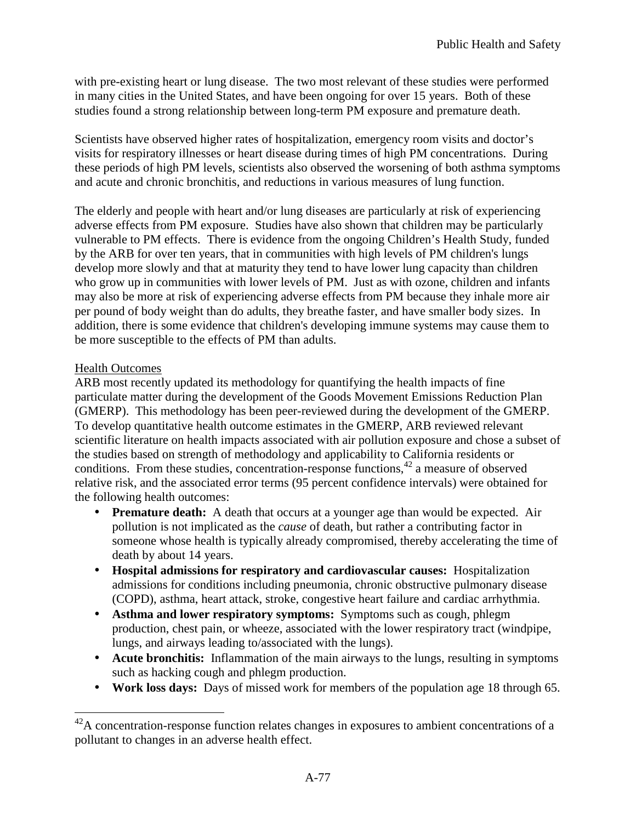with pre-existing heart or lung disease. The two most relevant of these studies were performed in many cities in the United States, and have been ongoing for over 15 years. Both of these studies found a strong relationship between long-term PM exposure and premature death.

 Scientists have observed higher rates of hospitalization, emergency room visits and doctor's visits for respiratory illnesses or heart disease during times of high PM concentrations. During these periods of high PM levels, scientists also observed the worsening of both asthma symptoms and acute and chronic bronchitis, and reductions in various measures of lung function.

 The elderly and people with heart and/or lung diseases are particularly at risk of experiencing adverse effects from PM exposure. Studies have also shown that children may be particularly vulnerable to PM effects. There is evidence from the ongoing Children's Health Study, funded by the ARB for over ten years, that in communities with high levels of PM children's lungs develop more slowly and that at maturity they tend to have lower lung capacity than children who grow up in communities with lower levels of PM. Just as with ozone, children and infants may also be more at risk of experiencing adverse effects from PM because they inhale more air per pound of body weight than do adults, they breathe faster, and have smaller body sizes. In addition, there is some evidence that children's developing immune systems may cause them to be more susceptible to the effects of PM than adults.

# **Health Outcomes**

<u>.</u>

 ARB most recently updated its methodology for quantifying the health impacts of fine particulate matter during the development of the Goods Movement Emissions Reduction Plan (GMERP). This methodology has been peer-reviewed during the development of the GMERP. To develop quantitative health outcome estimates in the GMERP, ARB reviewed relevant scientific literature on health impacts associated with air pollution exposure and chose a subset of the studies based on strength of methodology and applicability to California residents or conditions. From these studies, concentration-response functions, $42$  a measure of observed relative risk, and the associated error terms (95 percent confidence intervals) were obtained for the following health outcomes:

- • **Premature death:** A death that occurs at a younger age than would be expected. Air pollution is not implicated as the *cause* of death, but rather a contributing factor in someone whose health is typically already compromised, thereby accelerating the time of death by about 14 years.
- **Hospital admissions for respiratory and cardiovascular causes:** Hospitalization admissions for conditions including pneumonia, chronic obstructive pulmonary disease (COPD), asthma, heart attack, stroke, congestive heart failure and cardiac arrhythmia.
- **Asthma and lower respiratory symptoms:** Symptoms such as cough, phlegm production, chest pain, or wheeze, associated with the lower respiratory tract (windpipe, lungs, and airways leading to/associated with the lungs).
- • **Acute bronchitis:** Inflammation of the main airways to the lungs, resulting in symptoms such as hacking cough and phlegm production.
- Work loss days: Days of missed work for members of the population age 18 through 65.

 $42A$  concentration-response function relates changes in exposures to ambient concentrations of a pollutant to changes in an adverse health effect.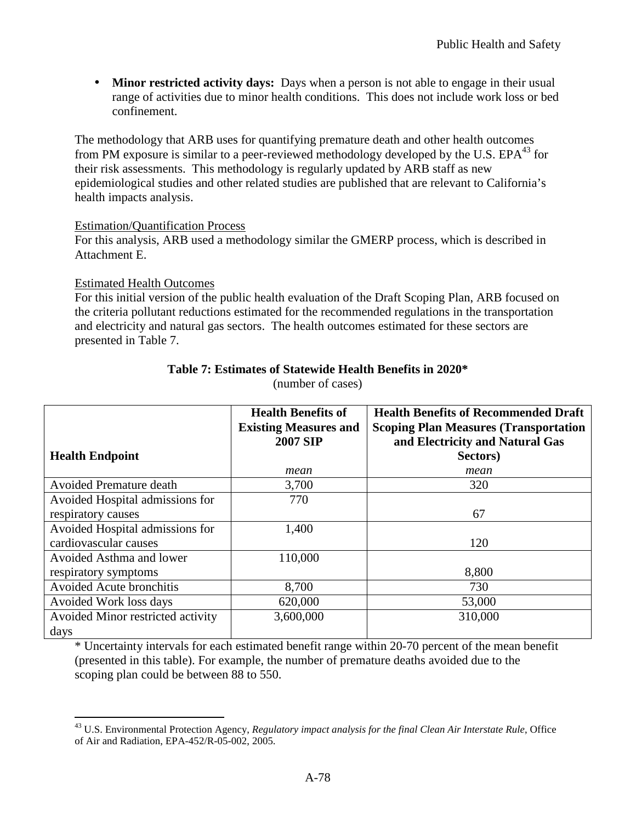• Minor restricted activity days: Days when a person is not able to engage in their usual range of activities due to minor health conditions. This does not include work loss or bed confinement.

 The methodology that ARB uses for quantifying premature death and other health outcomes from PM exposure is similar to a peer-reviewed methodology developed by the U.S. EPA $^{43}$  for their risk assessments. This methodology is regularly updated by ARB staff as new epidemiological studies and other related studies are published that are relevant to California's health impacts analysis.

#### Estimation/Quantification Process

 For this analysis, ARB used a methodology similar the GMERP process, which is described in Attachment E.

#### Estimated Health Outcomes

 For this initial version of the public health evaluation of the Draft Scoping Plan, ARB focused on the criteria pollutant reductions estimated for the recommended regulations in the transportation and electricity and natural gas sectors. The health outcomes estimated for these sectors are presented in Table 7.

|                                   | <b>Health Benefits of</b><br><b>Existing Measures and</b><br><b>2007 SIP</b> | <b>Health Benefits of Recommended Draft</b><br><b>Scoping Plan Measures (Transportation</b><br>and Electricity and Natural Gas |
|-----------------------------------|------------------------------------------------------------------------------|--------------------------------------------------------------------------------------------------------------------------------|
| <b>Health Endpoint</b>            |                                                                              | Sectors)                                                                                                                       |
|                                   | mean                                                                         | mean                                                                                                                           |
| <b>Avoided Premature death</b>    | 3,700                                                                        | 320                                                                                                                            |
| Avoided Hospital admissions for   | 770                                                                          |                                                                                                                                |
| respiratory causes                |                                                                              | 67                                                                                                                             |
| Avoided Hospital admissions for   | 1,400                                                                        |                                                                                                                                |
| cardiovascular causes             |                                                                              | 120                                                                                                                            |
| Avoided Asthma and lower          | 110,000                                                                      |                                                                                                                                |
| respiratory symptoms              |                                                                              | 8,800                                                                                                                          |
| Avoided Acute bronchitis          | 8,700                                                                        | 730                                                                                                                            |
| Avoided Work loss days            | 620,000                                                                      | 53,000                                                                                                                         |
| Avoided Minor restricted activity | 3,600,000                                                                    | 310,000                                                                                                                        |
| days                              |                                                                              |                                                                                                                                |

# **Table 7: Estimates of Statewide Health Benefits in 2020\***

(number of cases)

 \* Uncertainty intervals for each estimated benefit range within 20-70 percent of the mean benefit (presented in this table). For example, the number of premature deaths avoided due to the scoping plan could be between 88 to 550.

 $\overline{a}$  43 U.S. Environmental Protection Agency, *Regulatory impact analysis for the final Clean Air Interstate Rule*, Office of Air and Radiation, EPA-452/R-05-002, 2005.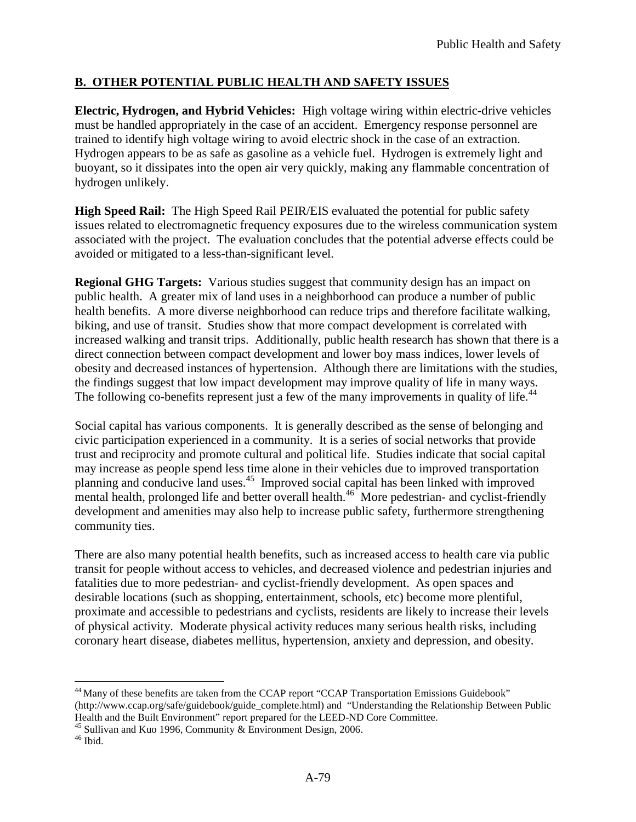# **B. OTHER POTENTIAL PUBLIC HEALTH AND SAFETY ISSUES**

 **Electric, Hydrogen, and Hybrid Vehicles:** High voltage wiring within electric-drive vehicles must be handled appropriately in the case of an accident. Emergency response personnel are trained to identify high voltage wiring to avoid electric shock in the case of an extraction. Hydrogen appears to be as safe as gasoline as a vehicle fuel. Hydrogen is extremely light and buoyant, so it dissipates into the open air very quickly, making any flammable concentration of hydrogen unlikely.

**High Speed Rail:** The High Speed Rail PEIR/EIS evaluated the potential for public safety issues related to electromagnetic frequency exposures due to the wireless communication system associated with the project. The evaluation concludes that the potential adverse effects could be avoided or mitigated to a less-than-significant level.

 **Regional GHG Targets:** Various studies suggest that community design has an impact on public health. A greater mix of land uses in a neighborhood can produce a number of public health benefits. A more diverse neighborhood can reduce trips and therefore facilitate walking, biking, and use of transit. Studies show that more compact development is correlated with increased walking and transit trips. Additionally, public health research has shown that there is a direct connection between compact development and lower boy mass indices, lower levels of obesity and decreased instances of hypertension. Although there are limitations with the studies, the findings suggest that low impact development may improve quality of life in many ways. The following co-benefits represent just a few of the many improvements in quality of life.<sup>44</sup>

 Social capital has various components. It is generally described as the sense of belonging and civic participation experienced in a community. It is a series of social networks that provide trust and reciprocity and promote cultural and political life. Studies indicate that social capital may increase as people spend less time alone in their vehicles due to improved transportation planning and conducive land uses.<sup>45</sup> Improved social capital has been linked with improved mental health, prolonged life and better overall [health.](https://health.46)<sup>46</sup> More pedestrian- and cyclist-friendly development and amenities may also help to increase public safety, furthermore strengthening community ties.

 There are also many potential health benefits, such as increased access to health care via public transit for people without access to vehicles, and decreased violence and pedestrian injuries and fatalities due to more pedestrian- and cyclist-friendly development. As open spaces and desirable locations (such as shopping, entertainment, schools, etc) become more plentiful, proximate and accessible to pedestrians and cyclists, residents are likely to increase their levels of physical activity. Moderate physical activity reduces many serious health risks, including coronary heart disease, diabetes mellitus, hypertension, anxiety and depression, and obesity.

<sup>45</sup> Sullivan and Kuo 1996, Community & Environment Design, 2006.<br><sup>46</sup> Ibid.

 $\overline{a}$  [\(http://www.ccap.org/safe/guidebook/guide\\_complete.html\)](http://www.ccap.org/safe/guidebook/guide_complete.html) and "Understanding the Relationship Between Public Health and the Built Environment" report prepared for the LEED-ND Core Committee. <sup>44</sup> Many of these benefits are taken from the CCAP report "CCAP Transportation Emissions Guidebook"

 $^{46}$  Ibid.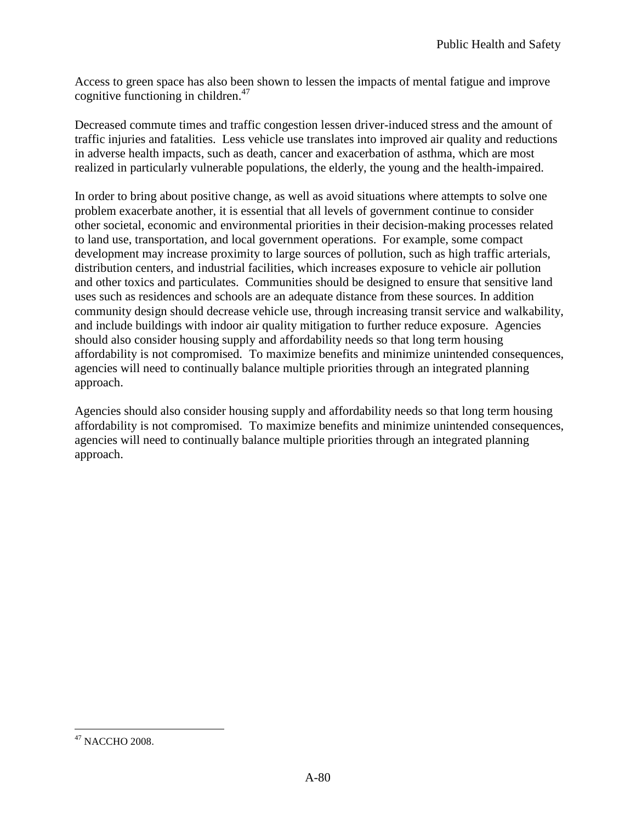Access to green space has also been shown to lessen the impacts of mental fatigue and improve cognitive functioning in [children.](https://children.47)<sup>47</sup>

 Decreased commute times and traffic congestion lessen driver-induced stress and the amount of traffic injuries and fatalities. Less vehicle use translates into improved air quality and reductions in adverse health impacts, such as death, cancer and exacerbation of asthma, which are most realized in particularly vulnerable populations, the elderly, the young and the health-impaired.

 In order to bring about positive change, as well as avoid situations where attempts to solve one problem exacerbate another, it is essential that all levels of government continue to consider other societal, economic and environmental priorities in their decision-making processes related to land use, transportation, and local government operations. For example, some compact development may increase proximity to large sources of pollution, such as high traffic arterials, distribution centers, and industrial facilities, which increases exposure to vehicle air pollution and other toxics and particulates. Communities should be designed to ensure that sensitive land uses such as residences and schools are an adequate distance from these sources. In addition community design should decrease vehicle use, through increasing transit service and walkability, and include buildings with indoor air quality mitigation to further reduce exposure. Agencies should also consider housing supply and affordability needs so that long term housing affordability is not compromised. To maximize benefits and minimize unintended consequences, agencies will need to continually balance multiple priorities through an integrated planning approach.

 Agencies should also consider housing supply and affordability needs so that long term housing affordability is not compromised. To maximize benefits and minimize unintended consequences, agencies will need to continually balance multiple priorities through an integrated planning approach.

<sup>&</sup>lt;u>.</u>  $47$  NACCHO 2008.